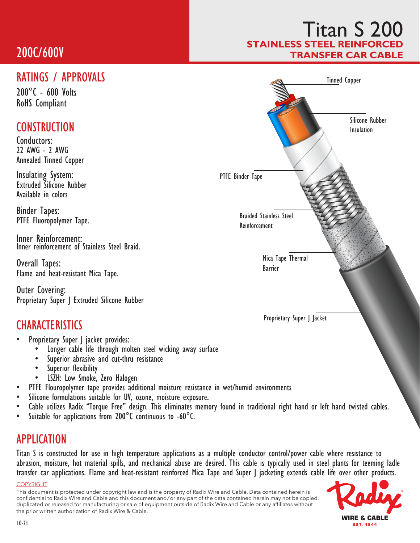# 200C/600V

### RATINGS / APPROVALS

200°C - 600 Volts RoHS Compliant

### **CONSTRUCTION**

Conductors: 22 AWG - 2 AWG Annealed Tinned Copper

Insulating System: Extruded Silicone Rubber Available in colors

Binder Tapes: PTFE Fluoropolymer Tape.

Inner Reinforcement: Inner reinforcement of Stainless Steel Braid.

Overall Tapes: Flame and heat-resistant Mica Tape.

Outer Covering: Proprietary Super J Extruded Silicone Rubber

## **CHARACTERISTICS**

- Proprietary Super | jacket provides:
	- Longer cable life through molten steel wicking away surface Superior abrasive and cut-thru resistance
	-
	-
	-
- 
- 
- Superior flexibility<br>• LSZH: Low Smoke, Zero Halogen<br>• PTFE Flouropolymer tape provides additional moisture resistance in wet/humid environments<br>• Silicone formulations suitable for UV, ozone, moisture exposure.<br>• Cable
- 

#### APPLICATION

Titan S is constructed for use in high temperature applications as a multiple conductor control/power cable where resistance to abrasion, moisture, hot material spills, and mechanical abuse are desired. This cable is typically used in steel plants for teeming ladle transfer car applications. Flame and heat-resistant reinforced Mica Tape and Super J jacketing extends cable life over other products.

#### COPYRIGHT

This document is protected under copyright law and is the property of Radix Wire and Cable. Data contained herein is confidential to Radix Wire and Cable and this document and / or any part of the data contained herein may not be copied, duplicated or released for manufacturing or sale of equipment outside of Radix Wire and Cable or any affiliates without the prior written authorization of Radix Wire & Cable.





## Titan S 200 **STAINLESS STEEL REINFOR** TRANSFER CAR CABLE